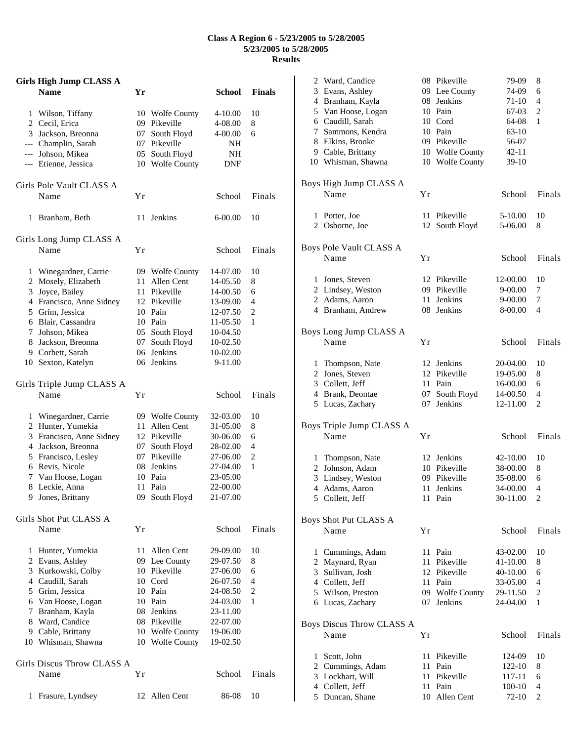## **Class A Region 6 - 5/23/2005 to 5/28/2005 5/23/2005 to 5/28/2005 Results**

|   | Girls High Jump CLASS A                      |    |                                |                      |                |
|---|----------------------------------------------|----|--------------------------------|----------------------|----------------|
|   | <b>Name</b>                                  | Yr |                                | School               | <b>Finals</b>  |
|   |                                              |    |                                |                      |                |
|   | 1 Wilson, Tiffany                            |    | 10 Wolfe County                | 4-10.00              | 10             |
|   | 2 Cecil, Erica                               |    | 09 Pikeville                   | 4-08.00              | 8              |
|   | 3 Jackson, Breonna                           |    | 07 South Floyd<br>07 Pikeville | 4-00.00              | 6              |
|   | --- Champlin, Sarah<br>--- Johson, Mikea     |    | 05 South Floyd                 | NH<br>NΗ             |                |
|   | --- Etienne, Jessica                         |    | 10 Wolfe County                | DNF                  |                |
|   |                                              |    |                                |                      |                |
|   | Girls Pole Vault CLASS A                     |    |                                |                      |                |
|   | Name                                         | Υr |                                | School               | Finals         |
|   |                                              |    |                                |                      |                |
| 1 | Branham, Beth                                | 11 | Jenkins                        | $6 - 00.00$          | 10             |
|   |                                              |    |                                |                      |                |
|   | Girls Long Jump CLASS A                      |    |                                |                      |                |
|   | Name                                         | Υr |                                | School               | Finals         |
|   |                                              |    | 09 Wolfe County                | 14-07.00             | 10             |
|   | 1 Winegardner, Carrie<br>2 Mosely, Elizabeth | 11 | Allen Cent                     | 14-05.50             | 8              |
|   | 3 Joyce, Bailey                              |    | 11 Pikeville                   | 14-00.50             | 6              |
|   | 4 Francisco, Anne Sidney                     |    | 12 Pikeville                   | 13-09.00             | $\overline{4}$ |
|   | 5 Grim, Jessica                              |    | 10 Pain                        | 12-07.50             | 2              |
|   | 6 Blair, Cassandra                           |    | 10 Pain                        | 11-05.50             | 1              |
|   | 7 Johson, Mikea                              |    | 05 South Floyd                 | 10-04.50             |                |
|   | 8 Jackson, Breonna                           |    | 07 South Floyd                 | 10-02.50             |                |
|   | 9 Corbett, Sarah                             |    | 06 Jenkins                     | 10-02.00             |                |
|   | 10 Sexton, Katelyn                           |    | 06 Jenkins                     | 9-11.00              |                |
|   |                                              |    |                                |                      |                |
|   | Girls Triple Jump CLASS A                    |    |                                |                      |                |
|   | Name                                         | Υr |                                | School               | Finals         |
|   | 1 Winegardner, Carrie                        |    | 09 Wolfe County                | 32-03.00             | 10             |
|   | 2 Hunter, Yumekia                            |    | 11 Allen Cent                  | 31-05.00             | 8              |
|   | 3 Francisco, Anne Sidney                     |    | 12 Pikeville                   | 30-06.00             | 6              |
|   | 4 Jackson, Breonna                           |    | 07 South Floyd                 | 28-02.00             | $\overline{4}$ |
|   | 5 Francisco, Lesley                          |    | 07 Pikeville                   | 27-06.00             | 2              |
|   | 6 Revis, Nicole                              |    | 08 Jenkins                     | 27-04.00             | 1              |
|   | 7 Van Hoose, Logan                           |    | 10 Pain                        | 23-05.00             |                |
| 8 | Leckie, Anna                                 | 11 | Pain                           | 22-00.00             |                |
| 9 | Jones, Brittany                              |    | 09 South Floyd                 | 21-07.00             |                |
|   |                                              |    |                                |                      |                |
|   | Girls Shot Put CLASS A                       |    |                                |                      |                |
|   | Name                                         | Υr |                                | School               | Finals         |
|   |                                              |    |                                |                      |                |
| 1 | Hunter, Yumekia                              |    | 11 Allen Cent                  | 29-09.00<br>29-07.50 | 10             |
|   | 2 Evans, Ashley<br>3 Kurkowski, Colby        |    | 09 Lee County<br>10 Pikeville  | 27-06.00             | 8<br>6         |
|   | 4 Caudill, Sarah                             |    | 10 Cord                        | 26-07.50             | 4              |
|   | 5 Grim, Jessica                              |    | 10 Pain                        | 24-08.50             | 2              |
|   | 6 Van Hoose, Logan                           |    | 10 Pain                        | 24-03.00             | 1              |
|   | 7 Branham, Kayla                             |    | 08 Jenkins                     | 23-11.00             |                |
|   | 8 Ward, Candice                              |    | 08 Pikeville                   | 22-07.00             |                |
|   | 9 Cable, Brittany                            |    | 10 Wolfe County                | 19-06.00             |                |
|   | 10 Whisman, Shawna                           |    | 10 Wolfe County                | 19-02.50             |                |
|   |                                              |    |                                |                      |                |
|   | Girls Discus Throw CLASS A                   |    |                                |                      |                |
|   | Name                                         | Υr |                                | School               | Finals         |
|   |                                              |    |                                |                      |                |
| 1 | Frasure, Lyndsey                             | 12 | Allen Cent                     | 86-08                | 10             |

|              | 2 Ward, Candice                |    | 08 Pikeville               | 79-09     | 8              |
|--------------|--------------------------------|----|----------------------------|-----------|----------------|
|              | 3 Evans, Ashley                |    | 09 Lee County              | 74-09     | 6              |
|              | 4 Branham, Kayla               |    | 08 Jenkins                 | 71-10     | 4              |
|              | 5 Van Hoose, Logan             |    | 10 Pain                    | 67-03     | 2              |
|              | 6 Caudill, Sarah               |    | 10 Cord                    | 64-08     | 1              |
|              | 7 Sammons, Kendra              |    | 10 Pain                    | 63-10     |                |
|              | 8 Elkins, Brooke               |    | 09 Pikeville               | 56-07     |                |
|              | 9 Cable, Brittany              |    | 10 Wolfe County            | $42 - 11$ |                |
|              | 10 Whisman, Shawna             |    | 10 Wolfe County            | 39-10     |                |
|              |                                |    |                            |           |                |
|              | Boys High Jump CLASS A<br>Name |    |                            |           |                |
|              |                                | Yr |                            | School    | Finals         |
|              | 1 Potter, Joe                  | 11 | Pikeville                  | 5-10.00   | 10             |
|              | 2 Osborne, Joe                 |    | 12 South Floyd             | 5-06.00   | 8              |
|              |                                |    |                            |           |                |
|              | Boys Pole Vault CLASS A        |    |                            |           |                |
|              | Name                           | Yr |                            | School    | Finals         |
|              |                                |    |                            |           |                |
|              | 1 Jones, Steven                |    | 12 Pikeville               | 12-00.00  | 10             |
|              | 2 Lindsey, Weston              |    | 09 Pikeville               | 9-00.00   | 7              |
|              | 2 Adams, Aaron                 |    | 11 Jenkins                 | 9-00.00   | 7              |
|              | 4 Branham, Andrew              |    | 08 Jenkins                 | 8-00.00   | 4              |
|              |                                |    |                            |           |                |
|              | Boys Long Jump CLASS A         |    |                            |           |                |
|              | Name                           | Yr |                            | School    | Finals         |
|              |                                |    |                            |           |                |
|              | 1 Thompson, Nate               |    | 12 Jenkins<br>12 Pikeville | 20-04.00  | 10             |
|              | 2 Jones, Steven                |    |                            | 19-05.00  | 8              |
|              | 3 Collett, Jeff                |    | 11 Pain                    | 16-00.00  | 6              |
|              | 4 Brank, Deontae               | 07 | South Floyd                | 14-00.50  | 4              |
|              | 5 Lucas, Zachary               | 07 | Jenkins                    | 12-11.00  | 2              |
|              | Boys Triple Jump CLASS A       |    |                            |           |                |
|              | Name                           | Υr |                            | School    | Finals         |
|              |                                |    |                            |           |                |
|              | 1 Thompson, Nate               |    | 12 Jenkins                 | 42-10.00  | 10             |
|              | 2 Johnson, Adam                |    | 10 Pikeville               | 38-00.00  | 8              |
|              | 3 Lindsey, Weston              |    | 09 Pikeville               | 35-08.00  | 6              |
|              | 4 Adams, Aaron                 | 11 | Jenkins                    | 34-00.00  | 4              |
|              | 5 Collett, Jeff                |    | 11 Pain                    | 30-11.00  | $\overline{c}$ |
|              |                                |    |                            |           |                |
|              | Boys Shot Put CLASS A          |    |                            |           |                |
|              | Name                           | Yr |                            | School    | Finals         |
|              |                                |    |                            |           |                |
|              | 1 Cummings, Adam               | 11 | Pain                       | 43-02.00  | 10             |
|              | 2 Maynard, Ryan                | 11 | Pikeville                  | 41-10.00  | 8              |
|              | 3 Sullivan, Josh               |    | 12 Pikeville               | 40-10.00  | 6              |
|              | 4 Collett, Jeff                |    | 11 Pain                    | 33-05.00  | 4              |
|              | 5 Wilson, Preston              |    | 09 Wolfe County            | 29-11.50  | 2              |
|              | 6 Lucas, Zachary               |    | 07 Jenkins                 | 24-04.00  | 1              |
|              |                                |    |                            |           |                |
|              | Boys Discus Throw CLASS A      |    |                            |           |                |
|              | Name                           | Yr |                            | School    | Finals         |
| $\mathbf{1}$ | Scott, John                    | 11 | Pikeville                  | 124-09    | 10             |
|              | 2 Cummings, Adam               | 11 | Pain                       | 122-10    | 8              |
|              | 3 Lockhart, Will               |    | 11 Pikeville               | 117-11    | 6              |
|              | 4 Collett, Jeff                |    | 11 Pain                    | 100-10    | 4              |
|              | 5 Duncan, Shane                |    | 10 Allen Cent              | 72-10     | 2              |
|              |                                |    |                            |           |                |